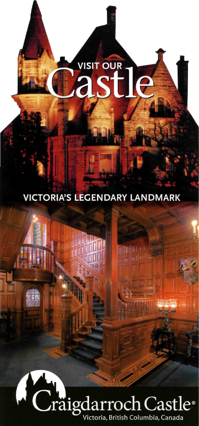## VISIT OUR

## **VICTORIA'S LEGENDARY LANDMARK**